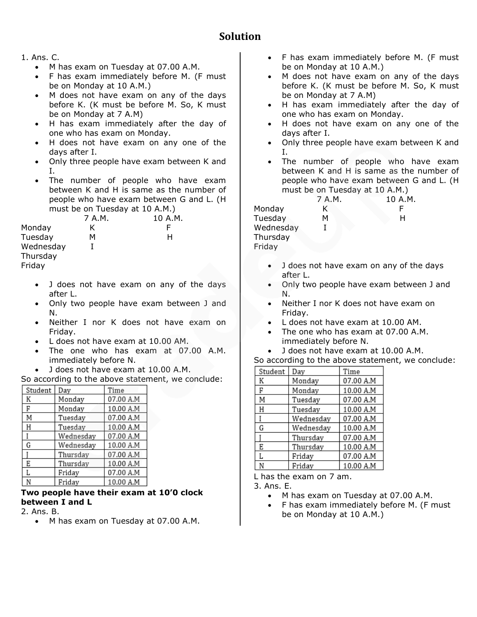# **Solution**

### 1. Ans. C.

- M has exam on Tuesday at 07.00 A.M.
- F has exam immediately before M. (F must be on Monday at 10 A.M.)
- M does not have exam on any of the days before K. (K must be before M. So, K must be on Monday at 7 A.M)
- H has exam immediately after the day of one who has exam on Monday.
- H does not have exam on any one of the days after I.
- Only three people have exam between K and I.
- The number of people who have exam between K and H is same as the number of people who have exam between G and L. (H must be on Tuesday at 10 A.M.)

|           | 7 A.M. | 10 A.M. |
|-----------|--------|---------|
| Monday    | K      |         |
| Tuesday   | м      | н       |
| Wednesday |        |         |
| Thursday  |        |         |
| Friday    |        |         |

- J does not have exam on any of the days after L.
- Only two people have exam between J and N.
- Neither I nor K does not have exam on Friday.
- L does not have exam at 10.00 AM.
- The one who has exam at 07.00 A.M. immediately before N.
- J does not have exam at 10.00 A.M.

| So according to the above statement, we conclude: |  |  |  |
|---------------------------------------------------|--|--|--|
|---------------------------------------------------|--|--|--|

| Student | Day       | Time      |
|---------|-----------|-----------|
| K       | Monday    | 07.00 A.M |
| F       | Monday    | 10.00 A.M |
| Μ       | Tuesday   | 07.00 A.M |
| Η       | Tuesday   | 10.00 A.M |
|         | Wednesdav | 07.00 A.M |
| G       | Wednesday | 10.00 A.M |
|         | Thursday  | 07.00 A.M |
| E       | Thursday  | 10.00 A.M |
| L       | Friday    | 07.00 A.M |
|         | Fridav    | 10.00 A.M |

### **Two people have their exam at 10'0 clock between I and L**

2. Ans. B.

• M has exam on Tuesday at 07.00 A.M.

- F has exam immediately before M. (F must be on Monday at 10 A.M.)
- M does not have exam on any of the days before K. (K must be before M. So, K must be on Monday at 7 A.M)
- H has exam immediately after the day of one who has exam on Monday.
- H does not have exam on any one of the days after I.
- Only three people have exam between K and I.
- The number of people who have exam between K and H is same as the number of people who have exam between G and L. (H must be on Tuesday at 10 A.M.)

7 A.M. 10 A.M. Monday K F Tuesday M H Wednesday I Thursday Friday

- J does not have exam on any of the days after L.
- Only two people have exam between J and N.
- Neither I nor K does not have exam on Friday.
- L does not have exam at 10.00 AM.
- The one who has exam at 07.00 A.M. immediately before N.
- J does not have exam at 10.00 A.M.

|         |           |           | So according to the above statement, we conclude: |
|---------|-----------|-----------|---------------------------------------------------|
| Student | Dav       | Time      |                                                   |
| К       | Monday    | 07.00 A.M |                                                   |
| F       | Monday    | 10.00 A.M |                                                   |
| М       | Tuesday   | 07.00 A.M |                                                   |
| Н       | Tuesday   | 10.00 A.M |                                                   |
|         | Wednesday | 07.00 A.M |                                                   |
| G       | Wednesday | 10.00 A.M |                                                   |
|         | Thursday  | 07.00 A.M |                                                   |
| E       | Thursday  | 10.00 A.M |                                                   |
|         | Friday    | 07.00 A.M |                                                   |

10.00 A.M N Friday L has the exam on 7 am.

3. Ans. E.

- M has exam on Tuesday at 07.00 A.M.
- F has exam immediately before M. (F must be on Monday at 10 A.M.)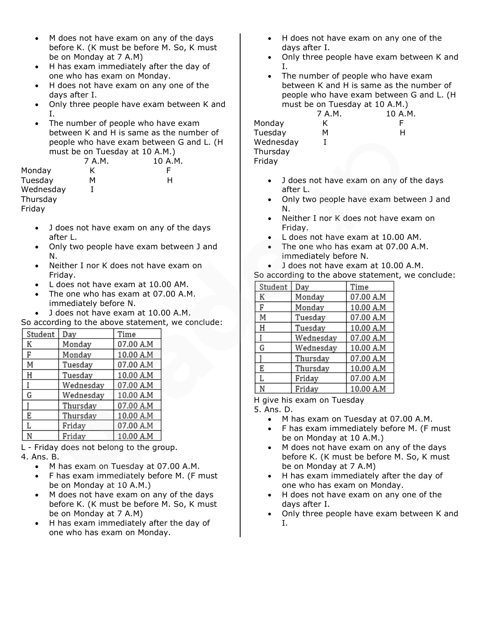- M does not have exam on any of the days before K. (K must be before M. So, K must be on Monday at 7 A.M)
- H has exam immediately after the day of one who has exam on Monday.
- H does not have exam on any one of the days after I.
- Only three people have exam between K and I.
- The number of people who have exam between K and H is same as the number of people who have exam between G and L. (H must be on Tuesday at 10 A.M.)

7 A.M. 10 A.M. Monday K F Tuesday M H Wednesday I Thursday

Friday

- J does not have exam on any of the days after L.
- Only two people have exam between J and N.
- Neither I nor K does not have exam on Friday.
- L does not have exam at 10.00 AM.
- The one who has exam at 07.00 A.M. immediately before N.
- J does not have exam at 10.00 A.M.

So according to the above statement, we conclude:

| Student | Day       | Time      |
|---------|-----------|-----------|
| К       | Monday    | 07.00 A.M |
| F       | Monday    | 10.00 A.M |
| M       | Tuesday   | 07.00 A.M |
| Η       | Tuesday   | 10.00 A.M |
|         | Wednesday | 07.00 A.M |
| G       | Wednesday | 10.00 A.M |
|         | Thursday  | 07.00 A.M |
| E       | Thursday  | 10.00 A.M |
| L       | Friday    | 07.00 A.M |
| N       | Friday    | 10.00 A.M |

L - Friday does not belong to the group. 4. Ans. B.

- M has exam on Tuesday at 07.00 A.M.
- F has exam immediately before M. (F must be on Monday at 10 A.M.)
- M does not have exam on any of the days before K. (K must be before M. So, K must be on Monday at 7 A.M)
- H has exam immediately after the day of one who has exam on Monday.
- H does not have exam on any one of the days after I.
- Only three people have exam between K and I.
- The number of people who have exam between K and H is same as the number of people who have exam between G and L. (H must be on Tuesday at 10 A.M.)

7 A.M. 10 A.M. Monday K F Tuesday M H Wednesday I Thursday Friday

- J does not have exam on any of the days after L.
- Only two people have exam between J and N.
- Neither I nor K does not have exam on Friday.
- L does not have exam at 10.00 AM.
- The one who has exam at 07.00 A.M. immediately before N.
- J does not have exam at 10.00 A.M.

| Student | Day       | Time      |
|---------|-----------|-----------|
| K       | Monday    | 07.00 A.M |
| F       | Monday    | 10.00 A.M |
| M       | Tuesday   | 07.00 A.M |
| Η       | Tuesday   | 10.00 A.M |
|         | Wednesday | 07.00 A.M |
| G       | Wednesday | 10.00 A.M |
|         | Thursday  | 07.00 A.M |
| E       | Thursday  | 10.00 A.M |
| L       | Friday    | 07.00 A.M |
|         | Fridav    | 10.00 A.M |

So according to the above statement, we conclude:

H give his exam on Tuesday

5. Ans. D.

- M has exam on Tuesday at 07.00 A.M.
- F has exam immediately before M. (F must be on Monday at 10 A.M.)
- M does not have exam on any of the days before K. (K must be before M. So, K must be on Monday at 7 A.M)
- H has exam immediately after the day of one who has exam on Monday.
- H does not have exam on any one of the days after I.
- Only three people have exam between K and I.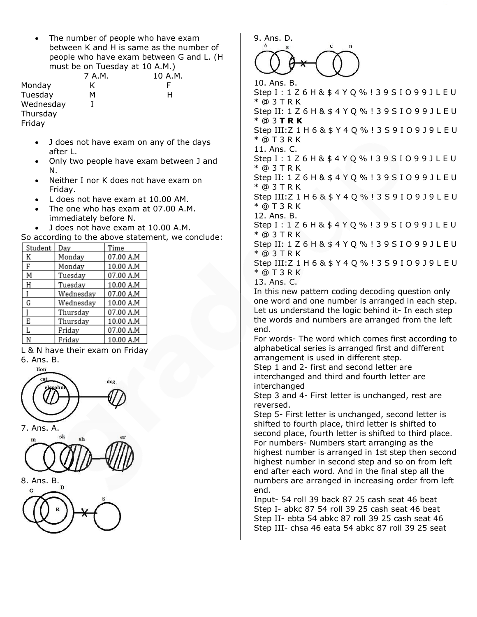• The number of people who have exam between K and H is same as the number of people who have exam between G and L. (H must be on Tuesday at 10 A.M.)

|           | 7 A.M. | 10 A.M. |
|-----------|--------|---------|
| Monday    | ĸ      |         |
| Tuesday   | м      | н       |
| Wednesday |        |         |
| Thursday  |        |         |
| Friday    |        |         |

- J does not have exam on any of the days after L.
- Only two people have exam between J and N.
- Neither I nor K does not have exam on Friday.
- L does not have exam at 10.00 AM.
- The one who has exam at 07.00 A.M. immediately before N.
- J does not have exam at 10.00 A.M.

|         |           |           | So according to the above statement, we conclude: |
|---------|-----------|-----------|---------------------------------------------------|
| Student | Day       | Time      |                                                   |
| K       | Monday    | 07.00 A.M |                                                   |
| F       | Monday    | 10.00 A.M |                                                   |
| M       | Tuesday   | 07.00 A.M |                                                   |
| Η       | Tuesdav   | 10.00 A.M |                                                   |
|         | Wednesday | 07.00 A.M |                                                   |
| G       | Wednesday | 10.00 A.M |                                                   |
|         | Thursday  | 07.00 A.M |                                                   |
| E       | Thursday  | 10.00 A.M |                                                   |
|         | Friday    | 07.00 A.M |                                                   |
| N       | Friday    | 10.00 A.M |                                                   |

L & N have their exam on Friday 6. Ans. B.



7. Ans. A.



8. Ans. B.



9. Ans. D.

10. Ans. B. Step I : 1 Z 6 H & \$ 4 Y Q % ! 3 9 S I O 9 9 J L E U \* @ 3 T R K Step II: 1 Z 6 H & \$ 4 Y Q % ! 3 9 S I O 9 9 J L E U \* @ 3 **T R K** Step III:Z 1 H 6 & \$ Y 4 Q % ! 3 S 9 I O 9 J 9 L E U \* @ T 3 R K 11. Ans. C. Step I : 1 Z 6 H & \$ 4 Y Q % ! 3 9 S I O 9 9 J L E U \* @ 3 T R K Step II: 1 Z 6 H & \$ 4 Y Q % ! 3 9 S I O 9 9 J L E U \* @ 3 T R K Step III:Z 1 H 6 & \$ Y 4 Q % ! 3 S 9 I O 9 J 9 L E U \* @ T 3 R K 12. Ans. B. Step I : 1 Z 6 H & \$ 4 Y Q % ! 3 9 S I O 9 9 J L E U \* @ 3 T R K Step II: 1 Z 6 H & \$ 4 Y Q % ! 3 9 S I O 9 9 J L E U \* @ 3 T R K Step III:Z 1 H 6 & \$ Y 4 Q % ! 3 S 9 I O 9 J 9 L E U \* @ T 3 R K 13. Ans. C. In this new pattern coding decoding question only one word and one number is arranged in each step. Let us understand the logic behind it- In each step the words and numbers are arranged from the left end. For words- The word which comes first according to alphabetical series is arranged first and different arrangement is used in different step. Step 1 and 2- first and second letter are

interchanged and third and fourth letter are interchanged

Step 3 and 4- First letter is unchanged, rest are reversed.

Step 5- First letter is unchanged, second letter is shifted to fourth place, third letter is shifted to second place, fourth letter is shifted to third place. For numbers- Numbers start arranging as the highest number is arranged in 1st step then second highest number in second step and so on from left end after each word. And in the final step all the numbers are arranged in increasing order from left end.

Input- 54 roll 39 back 87 25 cash seat 46 beat Step I- abkc 87 54 roll 39 25 cash seat 46 beat Step II- ebta 54 abkc 87 roll 39 25 cash seat 46 Step III- chsa 46 eata 54 abkc 87 roll 39 25 seat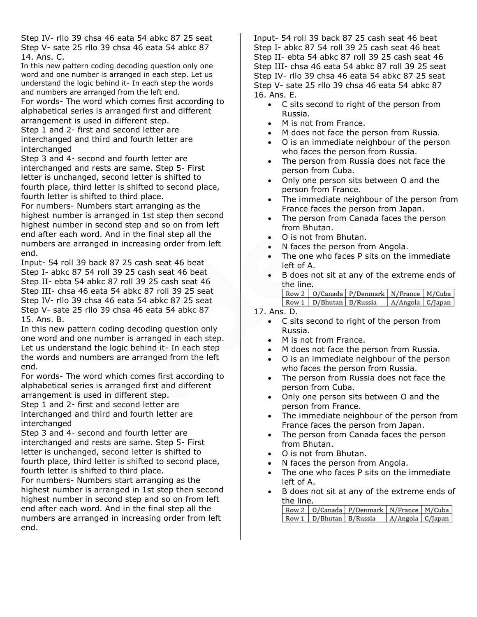Step IV- rllo 39 chsa 46 eata 54 abkc 87 25 seat Step V- sate 25 rllo 39 chsa 46 eata 54 abkc 87 14. Ans. C.

In this new pattern coding decoding question only one word and one number is arranged in each step. Let us understand the logic behind it- In each step the words and numbers are arranged from the left end.

For words- The word which comes first according to alphabetical series is arranged first and different arrangement is used in different step.

Step 1 and 2- first and second letter are interchanged and third and fourth letter are interchanged

Step 3 and 4- second and fourth letter are interchanged and rests are same. Step 5- First letter is unchanged, second letter is shifted to fourth place, third letter is shifted to second place, fourth letter is shifted to third place.

For numbers- Numbers start arranging as the highest number is arranged in 1st step then second highest number in second step and so on from left end after each word. And in the final step all the numbers are arranged in increasing order from left end.

Input- 54 roll 39 back 87 25 cash seat 46 beat Step I- abkc 87 54 roll 39 25 cash seat 46 beat Step II- ebta 54 abkc 87 roll 39 25 cash seat 46 Step III- chsa 46 eata 54 abkc 87 roll 39 25 seat Step IV- rllo 39 chsa 46 eata 54 abkc 87 25 seat Step V- sate 25 rllo 39 chsa 46 eata 54 abkc 87 15. Ans. B.

In this new pattern coding decoding question only one word and one number is arranged in each step. Let us understand the logic behind it- In each step the words and numbers are arranged from the left end.

For words- The word which comes first according to alphabetical series is arranged first and different arrangement is used in different step.

Step 1 and 2- first and second letter are interchanged and third and fourth letter are interchanged

Step 3 and 4- second and fourth letter are interchanged and rests are same. Step 5- First letter is unchanged, second letter is shifted to fourth place, third letter is shifted to second place, fourth letter is shifted to third place.

For numbers- Numbers start arranging as the highest number is arranged in 1st step then second highest number in second step and so on from left end after each word. And in the final step all the numbers are arranged in increasing order from left end.

Input- 54 roll 39 back 87 25 cash seat 46 beat Step I- abkc 87 54 roll 39 25 cash seat 46 beat Step II- ebta 54 abkc 87 roll 39 25 cash seat 46 Step III- chsa 46 eata 54 abkc 87 roll 39 25 seat Step IV- rllo 39 chsa 46 eata 54 abkc 87 25 seat Step V- sate 25 rllo 39 chsa 46 eata 54 abkc 87 16. Ans. E.

- C sits second to right of the person from Russia.
- M is not from France.
- M does not face the person from Russia.
- O is an immediate neighbour of the person who faces the person from Russia.
- The person from Russia does not face the person from Cuba.
- Only one person sits between O and the person from France.
- The immediate neighbour of the person from France faces the person from Japan.
- The person from Canada faces the person from Bhutan.
- O is not from Bhutan.
- N faces the person from Angola.
- The one who faces P sits on the immediate left of A.
- B does not sit at any of the extreme ends of the line.

|                             | Row 2   O/Canada   P/Denmark   N/France   M/Cuba |                    |  |
|-----------------------------|--------------------------------------------------|--------------------|--|
| Row 1   D/Bhutan   B/Russia |                                                  | A/Angola   C/Japan |  |

17. Ans. D.

- C sits second to right of the person from Russia.
- M is not from France.
- M does not face the person from Russia.
- O is an immediate neighbour of the person who faces the person from Russia.
- The person from Russia does not face the person from Cuba.
- Only one person sits between O and the person from France.
- The immediate neighbour of the person from France faces the person from Japan.
- The person from Canada faces the person from Bhutan.
- O is not from Bhutan.
- N faces the person from Angola.
- The one who faces P sits on the immediate left of A.
- B does not sit at any of the extreme ends of the line.

|  |  | Row 2   0/Canada   P/Denmark   N/France   M/Cuba |  |  |  |
|--|--|--------------------------------------------------|--|--|--|
|  |  | Row 1   D/Bhutan   B/Russia   A/Angola   C/Japan |  |  |  |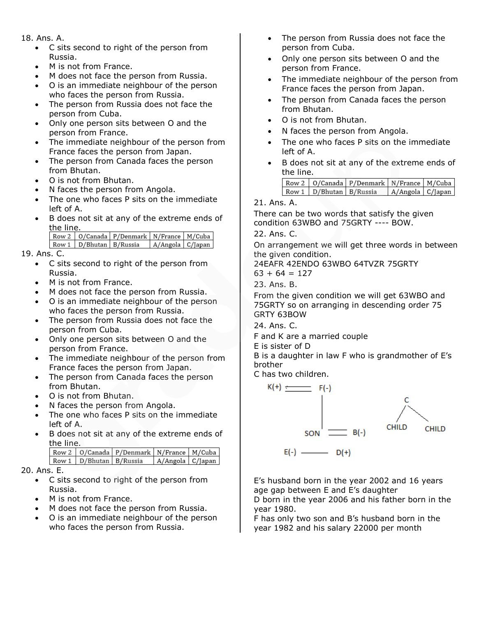#### 18. Ans. A.

- C sits second to right of the person from Russia.
- M is not from France.
- M does not face the person from Russia.
- O is an immediate neighbour of the person who faces the person from Russia.
- The person from Russia does not face the person from Cuba.
- Only one person sits between O and the person from France.
- The immediate neighbour of the person from France faces the person from Japan.
- The person from Canada faces the person from Bhutan.
- O is not from Bhutan.
- N faces the person from Angola.
- The one who faces P sits on the immediate left of A.
- B does not sit at any of the extreme ends of the line.

|  |                             | Row 2   O/Canada   P/Denmark   N/France   M/Cuba |                    |  |
|--|-----------------------------|--------------------------------------------------|--------------------|--|
|  | Row 1   D/Bhutan   B/Russia |                                                  | A/Angola   C/Japan |  |

### 19. Ans. C.

- C sits second to right of the person from Russia.
- M is not from France.
- M does not face the person from Russia.
- O is an immediate neighbour of the person who faces the person from Russia.
- The person from Russia does not face the person from Cuba.
- Only one person sits between O and the person from France.
- The immediate neighbour of the person from France faces the person from Japan.
- The person from Canada faces the person from Bhutan.
- O is not from Bhutan.
- N faces the person from Angola.
- The one who faces P sits on the immediate left of A.
- B does not sit at any of the extreme ends of the line.

|                             | Row 2   O/Canada   P/Denmark   N/France   M/Cuba |                    |  |
|-----------------------------|--------------------------------------------------|--------------------|--|
| Row 1   D/Bhutan   B/Russia |                                                  | A/Angola   C/Japan |  |

#### 20. Ans. E.

- C sits second to right of the person from Russia.
- M is not from France.
- M does not face the person from Russia.
- O is an immediate neighbour of the person who faces the person from Russia.
- The person from Russia does not face the person from Cuba.
- Only one person sits between O and the person from France.
- The immediate neighbour of the person from France faces the person from Japan.
- The person from Canada faces the person from Bhutan.
- O is not from Bhutan.
- N faces the person from Angola.
- The one who faces P sits on the immediate left of A.
- B does not sit at any of the extreme ends of the line.

|                             | Row 2   O/Canada   P/Denmark   N/France   M/Cuba |                    |  |
|-----------------------------|--------------------------------------------------|--------------------|--|
| Row 1   D/Bhutan   B/Russia |                                                  | A/Angola   C/Japan |  |

#### 21. Ans. A.

There can be two words that satisfy the given condition 63WBO and 75GRTY ---- BOW.

22. Ans. C.

On arrangement we will get three words in between the given condition.

24EAFR 42ENDO 63WBO 64TVZR 75GRTY

$$
63 + 64 = 127
$$

23. Ans. B.

From the given condition we will get 63WBO and 75GRTY so on arranging in descending order 75 GRTY 63BOW

24. Ans. C.

F and K are a married couple

E is sister of D

B is a daughter in law F who is grandmother of E's brother

C has two children.



E's husband born in the year 2002 and 16 years age gap between E and E's daughter

D born in the year 2006 and his father born in the year 1980.

F has only two son and B's husband born in the year 1982 and his salary 22000 per month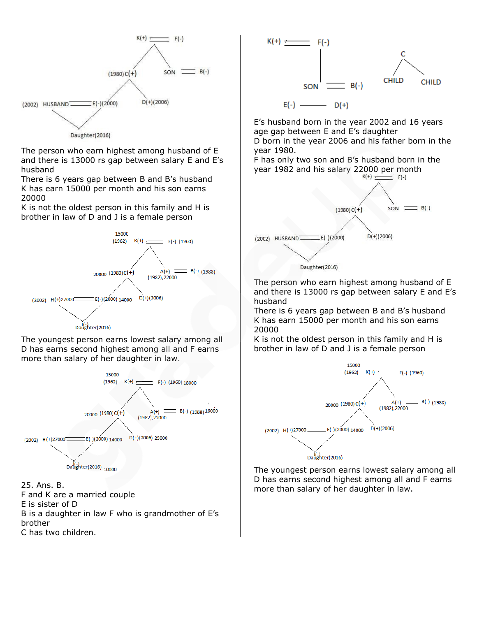

The person who earn highest among husband of E and there is 13000 rs gap between salary E and E's husband

There is 6 years gap between B and B's husband K has earn 15000 per month and his son earns 20000

K is not the oldest person in this family and H is brother in law of D and J is a female person



The youngest person earns lowest salary among all D has earns second highest among all and F earns more than salary of her daughter in law.





F and K are a married couple E is sister of D B is a daughter in law F who is grandmother of E's brother C has two children.



E's husband born in the year 2002 and 16 years age gap between E and E's daughter

D born in the year 2006 and his father born in the year 1980.

F has only two son and B's husband born in the year 1982 and his salary 22000 per month  $K(+)$   $\longleftarrow$   $F(-)$ 



The person who earn highest among husband of E and there is 13000 rs gap between salary E and E's husband

There is 6 years gap between B and B's husband K has earn 15000 per month and his son earns 20000

K is not the oldest person in this family and H is brother in law of D and J is a female person



The youngest person earns lowest salary among all D has earns second highest among all and F earns more than salary of her daughter in law.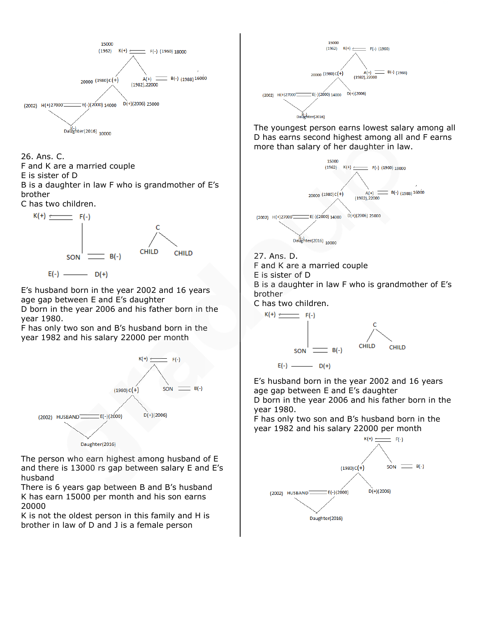

#### 26. Ans. C. F and K are a married couple

E is sister of D

B is a daughter in law F who is grandmother of E's brother

C has two children.



E's husband born in the year 2002 and 16 years age gap between E and E's daughter D born in the year 2006 and his father born in the year 1980.

F has only two son and B's husband born in the year 1982 and his salary 22000 per month



The person who earn highest among husband of E and there is 13000 rs gap between salary E and E's husband

There is 6 years gap between B and B's husband K has earn 15000 per month and his son earns 20000

K is not the oldest person in this family and H is brother in law of D and J is a female person



The youngest person earns lowest salary among all D has earns second highest among all and F earns more than salary of her daughter in law.



27. Ans. D.

F and K are a married couple

E is sister of D

B is a daughter in law F who is grandmother of E's brother

C has two children.



E's husband born in the year 2002 and 16 years age gap between E and E's daughter D born in the year 2006 and his father born in the year 1980.

F has only two son and B's husband born in the year 1982 and his salary 22000 per month

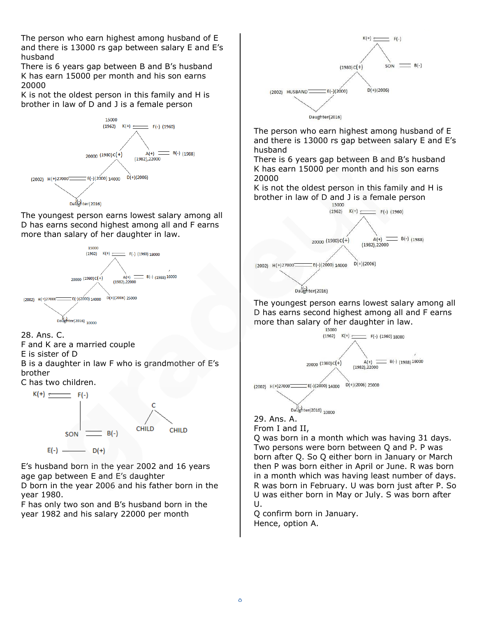The person who earn highest among husband of E and there is 13000 rs gap between salary E and E's husband

There is 6 years gap between B and B's husband K has earn 15000 per month and his son earns 20000

K is not the oldest person in this family and H is brother in law of D and J is a female person



The youngest person earns lowest salary among all D has earns second highest among all and F earns more than salary of her daughter in law.



28. Ans. C.

F and K are a married couple

E is sister of D

B is a daughter in law F who is grandmother of E's brother

C has two children.



E's husband born in the year 2002 and 16 years age gap between E and E's daughter

D born in the year 2006 and his father born in the year 1980.

F has only two son and B's husband born in the year 1982 and his salary 22000 per month



The person who earn highest among husband of E and there is 13000 rs gap between salary E and E's husband

There is 6 years gap between B and B's husband K has earn 15000 per month and his son earns 20000

K is not the oldest person in this family and H is brother in law of D and J is a female person



The youngest person earns lowest salary among all D has earns second highest among all and F earns more than salary of her daughter in law.



29. Ans. A. From I and II,

Q was born in a month which was having 31 days. Two persons were born between Q and P. P was born after Q. So Q either born in January or March then P was born either in April or June. R was born in a month which was having least number of days. R was born in February. U was born just after P. So U was either born in May or July. S was born after U.

Q confirm born in January. Hence, option A.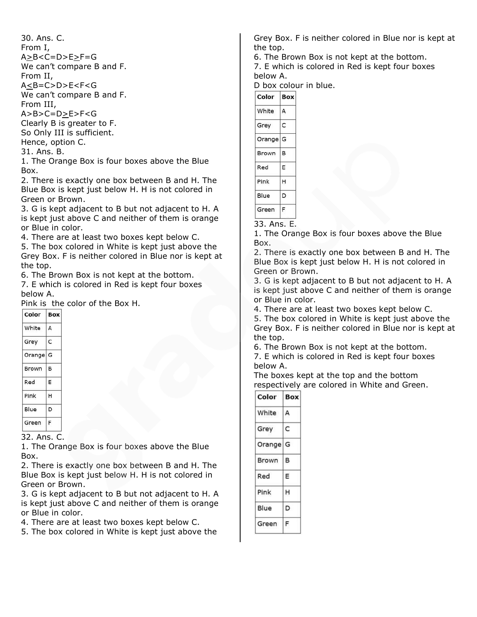| 30. Ans. C.                 |
|-----------------------------|
| From I,                     |
| $A > B < C = D > E > F = G$ |
| We can't compare B and F.   |
| From II,                    |
| $A < B = C > D > E < F < G$ |
| We can't compare B and F.   |
| From III,                   |
| $A > B > C = D > E > F < G$ |
| Clearly B is greater to F.  |
| So Only III is sufficient.  |
| Hence, option C.            |
|                             |

31. Ans. B.

1. The Orange Box is four boxes above the Blue Box.

2. There is exactly one box between B and H. The Blue Box is kept just below H. H is not colored in Green or Brown.

3. G is kept adjacent to B but not adjacent to H. A is kept just above C and neither of them is orange or Blue in color.

4. There are at least two boxes kept below C.

5. The box colored in White is kept just above the Grey Box. F is neither colored in Blue nor is kept at the top.

6. The Brown Box is not kept at the bottom.

7. E which is colored in Red is kept four boxes below A.

Pink is the color of the Box H.

| Color  | <b>Box</b> |
|--------|------------|
| White  | A          |
| Grey   | c          |
| Orange | G          |
| Brown  | в          |
| Red    | E          |
| Pink   | н          |
| Blue   | D          |
| Green  | F          |
|        |            |

32. Ans. C.

1. The Orange Box is four boxes above the Blue Box.

2. There is exactly one box between B and H. The Blue Box is kept just below H. H is not colored in Green or Brown.

3. G is kept adjacent to B but not adjacent to H. A is kept just above C and neither of them is orange or Blue in color.

4. There are at least two boxes kept below C.

5. The box colored in White is kept just above the

Grey Box. F is neither colored in Blue nor is kept at the top.

6. The Brown Box is not kept at the bottom.

7. E which is colored in Red is kept four boxes below A.

D box colour in blue.

| Color  | <b>Box</b> |
|--------|------------|
| White  | A          |
| Grey   | C          |
| Orange | G          |
| Brown  | B          |
| Red    | E          |
| Pink   | н          |
| Blue   | D          |
| Green  | F          |

33. Ans. E.

1. The Orange Box is four boxes above the Blue Box.

2. There is exactly one box between B and H. The Blue Box is kept just below H. H is not colored in Green or Brown.

3. G is kept adjacent to B but not adjacent to H. A is kept just above C and neither of them is orange or Blue in color.

4. There are at least two boxes kept below C.

5. The box colored in White is kept just above the Grey Box. F is neither colored in Blue nor is kept at the top.

6. The Brown Box is not kept at the bottom. 7. E which is colored in Red is kept four boxes

below A. The boxes kept at the top and the bottom respectively are colored in White and Green.

| Color  | Box |
|--------|-----|
| White  | А   |
| Grey   | Ċ   |
| Orange | G   |
| Brown  | в   |
| Red    | E   |
| Pink   | н   |
| Blue   | D   |
| Green  |     |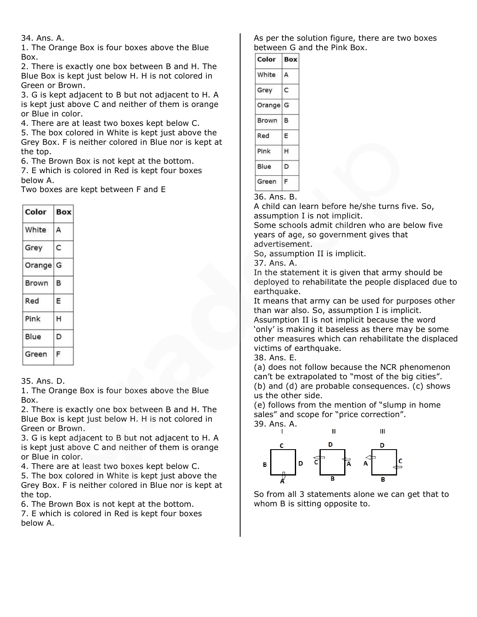#### 34. Ans. A.

1. The Orange Box is four boxes above the Blue Box.

2. There is exactly one box between B and H. The Blue Box is kept just below H. H is not colored in Green or Brown.

3. G is kept adjacent to B but not adjacent to H. A is kept just above C and neither of them is orange or Blue in color.

4. There are at least two boxes kept below C.

5. The box colored in White is kept just above the Grey Box. F is neither colored in Blue nor is kept at the top.

6. The Brown Box is not kept at the bottom.

7. E which is colored in Red is kept four boxes below A.

Two boxes are kept between F and E

| Color  | Box |
|--------|-----|
| White  | А   |
| Grey   | C   |
| Orange | G   |
| Brown  | в   |
| Red    | E   |
| Pink   | н   |
| Blue   | D   |
| Green  | F   |

#### 35. Ans. D.

1. The Orange Box is four boxes above the Blue Box.

2. There is exactly one box between B and H. The Blue Box is kept just below H. H is not colored in Green or Brown.

3. G is kept adjacent to B but not adjacent to H. A is kept just above C and neither of them is orange or Blue in color.

4. There are at least two boxes kept below C.

5. The box colored in White is kept just above the Grey Box. F is neither colored in Blue nor is kept at the top.

6. The Brown Box is not kept at the bottom.

7. E which is colored in Red is kept four boxes below A.

As per the solution figure, there are two boxes between G and the Pink Box.

| Color  | Box |
|--------|-----|
| White  | А   |
| Grey   | C   |
| Orange | G   |
| Brown  | в   |
| Red    | F   |
| Pink   | н   |
| Blue   | D   |
| Green  | F   |

### 36. Ans. B.

A child can learn before he/she turns five. So, assumption I is not implicit.

Some schools admit children who are below five years of age, so government gives that

advertisement. So, assumption II is implicit.

37. Ans. A.

In the statement it is given that army should be deployed to rehabilitate the people displaced due to earthquake.

It means that army can be used for purposes other than war also. So, assumption I is implicit.

Assumption II is not implicit because the word 'only' is making it baseless as there may be some other measures which can rehabilitate the displaced victims of earthquake.

38. Ans. E.

(a) does not follow because the NCR phenomenon can't be extrapolated to "most of the big cities". (b) and (d) are probable consequences. (c) shows us the other side.

(e) follows from the mention of "slump in home sales" and scope for "price correction".

39. Ans. A.  $\mathbf{H}$ Ш n D B

So from all 3 statements alone we can get that to whom B is sitting opposite to.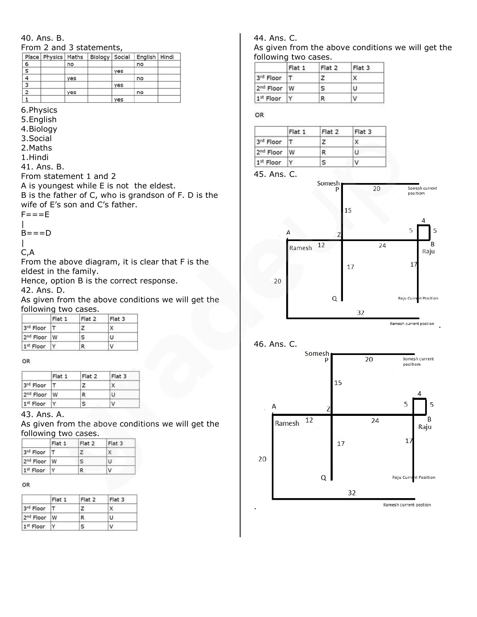# 40. Ans. B.

From 2 and 3 statements,

|                | Place   Physics   Maths |     |            | Biology   Social   English   Hindi |  |
|----------------|-------------------------|-----|------------|------------------------------------|--|
| 6              |                         | no  |            | no                                 |  |
| 5              |                         |     | ves        |                                    |  |
| 4              |                         | yes |            | no                                 |  |
| 3              |                         |     | yes        |                                    |  |
| $\overline{2}$ |                         | yes |            | no                                 |  |
|                |                         |     | <b>VAS</b> |                                    |  |

6.Physics

5.English

- 4.Biology
- 3.Social
- 2.Maths
- 1.Hindi

41. Ans. B.

From statement 1 and 2

A is youngest while E is not the eldest.

B is the father of C, who is grandson of F. D is the wife of E's son and C's father.

 $F = = E$ |

 $B=-D$ 

| C,A

From the above diagram, it is clear that F is the eldest in the family.

Hence, option B is the correct response.

42. Ans. D.

As given from the above conditions we will get the following two cases.

|                         | Flat 1 | Flat 2 | Flat 3 |
|-------------------------|--------|--------|--------|
| 3rd Floor   T           |        |        | X      |
| 2 <sup>nd</sup> Floor W |        | s      | ΙU     |
| 1st Floor               |        | R      | ν      |

OR

|                         | Flat 1 | Flat 2 | Flat 3 |
|-------------------------|--------|--------|--------|
| 3rd Floor   T           |        | z      | x      |
| 2 <sup>nd</sup> Floor W |        | R      | U      |
| 1 <sup>st</sup> Floor   |        | s      | ٧      |

#### 43. Ans. A.

As given from the above conditions we will get the following two cases.

|                           | Flat 1 | Flat 2 | Flat 3 |
|---------------------------|--------|--------|--------|
| 3rd Floor   T             |        |        | X      |
| 2 <sup>nd</sup> Floor   W |        | s      | U      |
| 1st Floor                 |        | R      | ν      |

#### OR

|                         | Flat 1 | Flat 2 | Flat 3 |
|-------------------------|--------|--------|--------|
| 3rd Floor               |        |        | x      |
| 2 <sup>nd</sup> Floor W |        | R      | U      |
| 1 <sup>st</sup> Floor   |        |        | v      |

#### 44. Ans. C.

As given from the above conditions we will get the following two cases.

|                         | Flat 1 | Flat 2 | Flat 3 |
|-------------------------|--------|--------|--------|
| 3rd Floor               |        |        | x      |
| 2 <sup>nd</sup> Floor W |        | s.     | lU     |
| 1st Floor               |        | R      | v      |

#### OR

|                         | Flat 1 | Flat 2 | Flat 3 |
|-------------------------|--------|--------|--------|
| 3rd Floor   T           |        |        | x      |
| 2 <sup>nd</sup> Floor W |        | R      | U      |
| 1st Floor               |        | s      | V      |

#### 45. Ans. C.



Ramesh current postion .

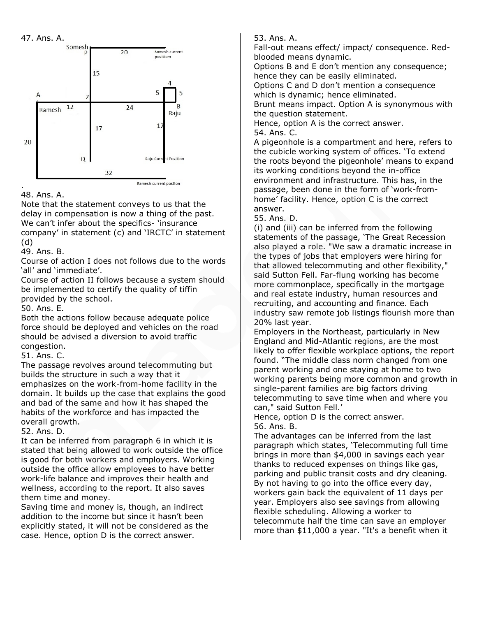47. Ans. A.



### 48. Ans. A.

Note that the statement conveys to us that the delay in compensation is now a thing of the past. We can't infer about the specifics- 'insurance company' in statement (c) and 'IRCTC' in statement (d)

49. Ans. B.

Course of action I does not follows due to the words 'all' and 'immediate'.

Course of action II follows because a system should be implemented to certify the quality of tiffin provided by the school.

50. Ans. E.

Both the actions follow because adequate police force should be deployed and vehicles on the road should be advised a diversion to avoid traffic congestion.

51. Ans. C.

The passage revolves around telecommuting but builds the structure in such a way that it emphasizes on the work-from-home facility in the domain. It builds up the case that explains the good and bad of the same and how it has shaped the habits of the workforce and has impacted the overall growth.

52. Ans. D.

It can be inferred from paragraph 6 in which it is stated that being allowed to work outside the office is good for both workers and employers. Working outside the office allow employees to have better work-life balance and improves their health and wellness, according to the report. It also saves them time and money.

Saving time and money is, though, an indirect addition to the income but since it hasn't been explicitly stated, it will not be considered as the case. Hence, option D is the correct answer.

53. Ans. A.

Fall-out means effect/ impact/ consequence. Redblooded means dynamic.

Options B and E don't mention any consequence; hence they can be easily eliminated.

Options C and D don't mention a consequence which is dynamic; hence eliminated.

Brunt means impact. Option A is synonymous with the question statement.

Hence, option A is the correct answer. 54. Ans. C.

A pigeonhole is a compartment and here, refers to the cubicle working system of offices. 'To extend the roots beyond the pigeonhole' means to expand its working conditions beyond the in-office environment and infrastructure. This has, in the passage, been done in the form of 'work-fromhome' facility. Hence, option C is the correct answer.

55. Ans. D.

(i) and (iii) can be inferred from the following statements of the passage, 'The Great Recession also played a role. "We saw a dramatic increase in the types of jobs that employers were hiring for that allowed telecommuting and other flexibility," said Sutton Fell. Far-flung working has become more commonplace, specifically in the mortgage and real estate industry, human resources and recruiting, and accounting and finance. Each industry saw remote job listings flourish more than 20% last year.

Employers in the Northeast, particularly in New England and Mid-Atlantic regions, are the most likely to offer flexible workplace options, the report found. "The middle class norm changed from one parent working and one staying at home to two working parents being more common and growth in single-parent families are big factors driving telecommuting to save time when and where you can," said Sutton Fell.'

Hence, option D is the correct answer. 56. Ans. B.

The advantages can be inferred from the last paragraph which states, 'Telecommuting full time brings in more than \$4,000 in savings each year thanks to reduced expenses on things like gas, parking and public transit costs and dry cleaning. By not having to go into the office every day, workers gain back the equivalent of 11 days per year. Employers also see savings from allowing flexible scheduling. Allowing a worker to telecommute half the time can save an employer more than \$11,000 a year. "It's a benefit when it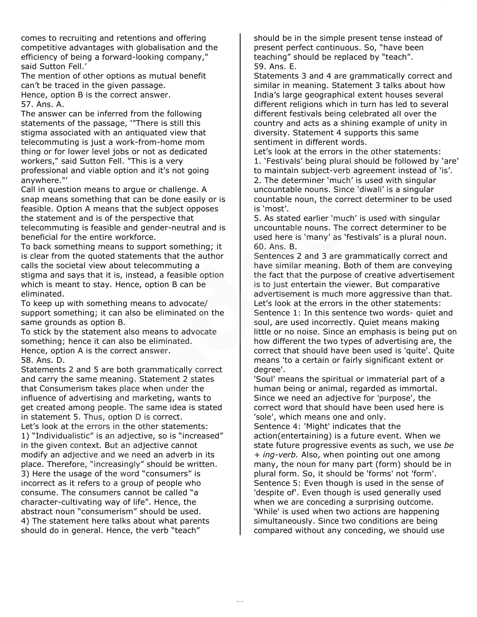comes to recruiting and retentions and offering competitive advantages with globalisation and the efficiency of being a forward-looking company," said Sutton Fell.'

The mention of other options as mutual benefit can't be traced in the given passage. Hence, option B is the correct answer.

57. Ans. A.

The answer can be inferred from the following statements of the passage, '"There is still this stigma associated with an antiquated view that telecommuting is just a work-from-home mom thing or for lower level jobs or not as dedicated workers," said Sutton Fell. "This is a very professional and viable option and it's not going anywhere."'

Call in question means to argue or challenge. A snap means something that can be done easily or is feasible. Option A means that the subject opposes the statement and is of the perspective that telecommuting is feasible and gender-neutral and is beneficial for the entire workforce.

To back something means to support something; it is clear from the quoted statements that the author calls the societal view about telecommuting a stigma and says that it is, instead, a feasible option which is meant to stay. Hence, option B can be eliminated.

To keep up with something means to advocate/ support something; it can also be eliminated on the same grounds as option B.

To stick by the statement also means to advocate something; hence it can also be eliminated. Hence, option A is the correct answer. 58. Ans. D.

Statements 2 and 5 are both grammatically correct and carry the same meaning. Statement 2 states that Consumerism takes place when under the influence of advertising and marketing, wants to get created among people. The same idea is stated in statement 5. Thus, option D is correct. Let's look at the errors in the other statements:

1) "Individualistic" is an adjective, so is "increased" in the given context. But an adjective cannot modify an adjective and we need an adverb in its place. Therefore, "increasingly" should be written. 3) Here the usage of the word "consumers" is incorrect as it refers to a group of people who consume. The consumers cannot be called "a character-cultivating way of life". Hence, the abstract noun "consumerism" should be used. 4) The statement here talks about what parents should do in general. Hence, the verb "teach"

should be in the simple present tense instead of present perfect continuous. So, "have been teaching" should be replaced by "teach". 59. Ans. E.

Statements 3 and 4 are grammatically correct and similar in meaning. Statement 3 talks about how India's large geographical extent houses several different religions which in turn has led to several different festivals being celebrated all over the country and acts as a shining example of unity in diversity. Statement 4 supports this same sentiment in different words.

Let's look at the errors in the other statements: 1. 'Festivals' being plural should be followed by 'are' to maintain subject-verb agreement instead of 'is'. 2. The determiner 'much' is used with singular uncountable nouns. Since 'diwali' is a singular countable noun, the correct determiner to be used is 'most'.

5. As stated earlier 'much' is used with singular uncountable nouns. The correct determiner to be used here is 'many' as 'festivals' is a plural noun. 60. Ans. B.

Sentences 2 and 3 are grammatically correct and have similar meaning. Both of them are conveying the fact that the purpose of creative advertisement is to just entertain the viewer. But comparative advertisement is much more aggressive than that. Let's look at the errors in the other statements: Sentence 1: In this sentence two words- quiet and soul, are used incorrectly. Quiet means making little or no noise. Since an emphasis is being put on how different the two types of advertising are, the correct that should have been used is 'quite'. Quite means 'to a certain or fairly significant extent or degree'.

'Soul' means the spiritual or immaterial part of a human being or animal, regarded as immortal. Since we need an adjective for 'purpose', the correct word that should have been used here is 'sole', which means one and only.

Sentence 4: 'Might' indicates that the action(entertaining) is a future event. When we state future progressive events as such, we use *be + ing-verb.* Also, when pointing out one among many, the noun for many part (form) should be in plural form. So, it should be 'forms' not 'form'. Sentence 5: Even though is used in the sense of 'despite of'. Even though is used generally used when we are conceding a surprising outcome. 'While' is used when two actions are happening simultaneously. Since two conditions are being compared without any conceding, we should use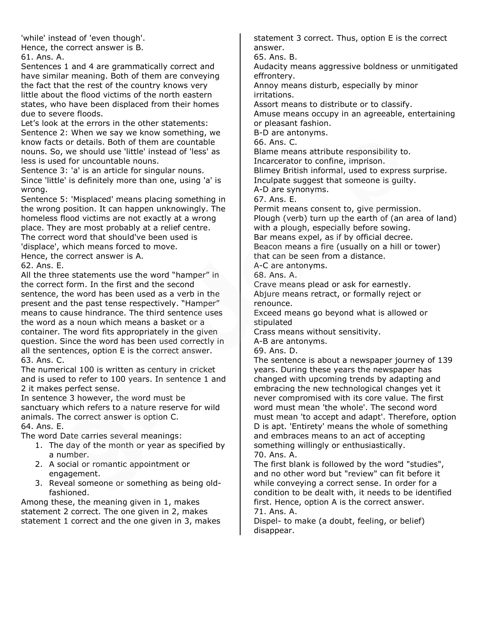'while' instead of 'even though'. Hence, the correct answer is B.

61. Ans. A.

Sentences 1 and 4 are grammatically correct and have similar meaning. Both of them are conveying the fact that the rest of the country knows very little about the flood victims of the north eastern states, who have been displaced from their homes due to severe floods.

Let's look at the errors in the other statements: Sentence 2: When we say we know something, we know facts or details. Both of them are countable nouns. So, we should use 'little' instead of 'less' as less is used for uncountable nouns.

Sentence 3: 'a' is an article for singular nouns. Since 'little' is definitely more than one, using 'a' is wrong.

Sentence 5: 'Misplaced' means placing something in the wrong position. It can happen unknowingly. The homeless flood victims are not exactly at a wrong place. They are most probably at a relief centre. The correct word that should've been used is 'displace', which means forced to move. Hence, the correct answer is A.

62. Ans. E.

All the three statements use the word "hamper" in the correct form. In the first and the second sentence, the word has been used as a verb in the present and the past tense respectively. "Hamper" means to cause hindrance. The third sentence uses the word as a noun which means a basket or a container. The word fits appropriately in the given question. Since the word has been used correctly in all the sentences, option E is the correct answer. 63. Ans. C.

The numerical 100 is written as century in cricket and is used to refer to 100 years. In sentence 1 and 2 it makes perfect sense.

In sentence 3 however, the word must be sanctuary which refers to a nature reserve for wild animals. The correct answer is option C.

64. Ans. E.

The word Date carries several meanings:

- 1. The day of the month or year as specified by a number.
- 2. A social or romantic appointment or engagement.
- 3. Reveal someone or something as being oldfashioned.

Among these, the meaning given in 1, makes statement 2 correct. The one given in 2, makes statement 1 correct and the one given in 3, makes statement 3 correct. Thus, option E is the correct answer.

65. Ans. B.

Audacity means aggressive boldness or unmitigated effrontery.

Annoy means disturb, especially by minor irritations.

Assort means to distribute or to classify.

Amuse means occupy in an agreeable, entertaining or pleasant fashion.

B-D are antonyms.

66. Ans. C.

Blame means attribute responsibility to.

Incarcerator to confine, imprison.

Blimey British informal, used to express surprise.

Inculpate suggest that someone is guilty.

A-D are synonyms. 67. Ans. E.

Permit means consent to, give permission. Plough (verb) turn up the earth of (an area of land) with a plough, especially before sowing. Bar means expel, as if by official decree.

Beacon means a fire (usually on a hill or tower) that can be seen from a distance.

A-C are antonyms.

68. Ans. A.

Crave means plead or ask for earnestly. Abjure means retract, or formally reject or renounce.

Exceed means go beyond what is allowed or stipulated

Crass means without sensitivity.

A-B are antonyms.

69. Ans. D.

The sentence is about a newspaper journey of 139 years. During these years the newspaper has changed with upcoming trends by adapting and embracing the new technological changes yet it never compromised with its core value. The first word must mean 'the whole'. The second word must mean 'to accept and adapt'. Therefore, option D is apt. 'Entirety' means the whole of something and embraces means to an act of accepting something willingly or enthusiastically.

70. Ans. A.

The first blank is followed by the word "studies", and no other word but "review" can fit before it while conveying a correct sense. In order for a condition to be dealt with, it needs to be identified first. Hence, option A is the correct answer. 71. Ans. A.

Dispel- to make (a doubt, feeling, or belief) disappear.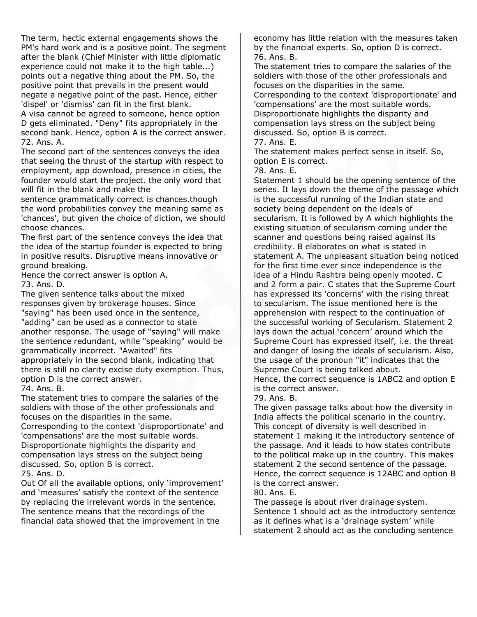The term, hectic external engagements shows the PM's hard work and is a positive point. The segment after the blank (Chief Minister with little diplomatic experience could not make it to the high table...) points out a negative thing about the PM. So, the positive point that prevails in the present would negate a negative point of the past. Hence, either 'dispel' or 'dismiss' can fit in the first blank. A visa cannot be agreed to someone, hence option

D gets eliminated. "Deny" fits appropriately in the second bank. Hence, option A is the correct answer. 72. Ans. A.

The second part of the sentences conveys the idea that seeing the thrust of the startup with respect to employment, app download, presence in cities, the founder would start the project. the only word that will fit in the blank and make the

sentence grammatically correct is chances.though the word probabilities convey the meaning same as 'chances', but given the choice of diction, we should choose chances.

The first part of the sentence conveys the idea that the idea of the startup founder is expected to bring in positive results. Disruptive means innovative or ground breaking.

Hence the correct answer is option A. 73. Ans. D.

The given sentence talks about the mixed responses given by brokerage houses. Since "saying" has been used once in the sentence, "adding" can be used as a connector to state another response. The usage of "saying" will make the sentence redundant, while "speaking" would be grammatically incorrect. "Awaited" fits appropriately in the second blank, indicating that there is still no clarity excise duty exemption. Thus, option D is the correct answer.

74. Ans. B.

The statement tries to compare the salaries of the soldiers with those of the other professionals and focuses on the disparities in the same.

Corresponding to the context 'disproportionate' and 'compensations' are the most suitable words. Disproportionate highlights the disparity and compensation lays stress on the subject being discussed. So, option B is correct.

75. Ans. D.

Out Of all the available options, only 'improvement' and 'measures' satisfy the context of the sentence by replacing the irrelevant words in the sentence. The sentence means that the recordings of the financial data showed that the improvement in the

economy has little relation with the measures taken by the financial experts. So, option D is correct. 76. Ans. B.

The statement tries to compare the salaries of the soldiers with those of the other professionals and focuses on the disparities in the same. Corresponding to the context 'disproportionate' and 'compensations' are the most suitable words. Disproportionate highlights the disparity and

compensation lays stress on the subject being discussed. So, option B is correct.

77. Ans. E.

The statement makes perfect sense in itself. So, option E is correct.

78. Ans. E.

Statement 1 should be the opening sentence of the series. It lays down the theme of the passage which is the successful running of the Indian state and society being dependent on the ideals of secularism. It is followed by A which highlights the existing situation of secularism coming under the scanner and questions being raised against its credibility. B elaborates on what is stated in statement A. The unpleasant situation being noticed for the first time ever since independence is the idea of a Hindu Rashtra being openly mooted. C and 2 form a pair. C states that the Supreme Court has expressed its 'concerns' with the rising threat to secularism. The issue mentioned here is the apprehension with respect to the continuation of the successful working of Secularism. Statement 2 lays down the actual 'concern' around which the Supreme Court has expressed itself, i.e. the threat and danger of losing the ideals of secularism. Also, the usage of the pronoun "it" indicates that the Supreme Court is being talked about.

Hence, the correct sequence is 1ABC2 and option E is the correct answer.

79. Ans. B.

The given passage talks about how the diversity in India affects the political scenario in the country. This concept of diversity is well described in statement 1 making it the introductory sentence of the passage. And it leads to how states contribute to the political make up in the country. This makes statement 2 the second sentence of the passage. Hence, the correct sequence is 12ABC and option B is the correct answer.

80. Ans. E.

The passage is about river drainage system. Sentence 1 should act as the introductory sentence as it defines what is a 'drainage system' while statement 2 should act as the concluding sentence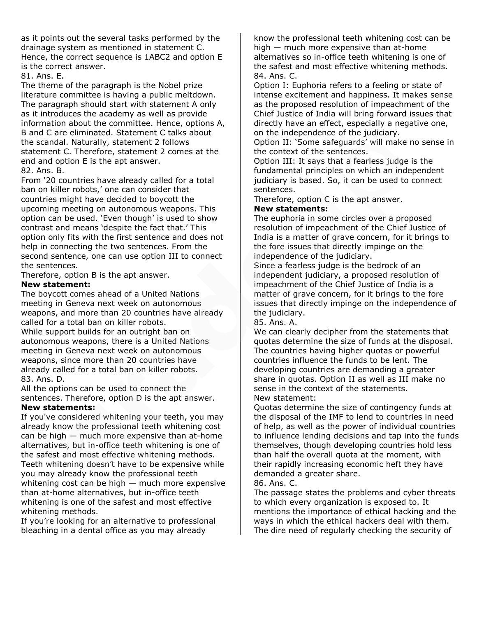as it points out the several tasks performed by the drainage system as mentioned in statement C. Hence, the correct sequence is 1ABC2 and option E is the correct answer.

81. Ans. E.

The theme of the paragraph is the Nobel prize literature committee is having a public meltdown. The paragraph should start with statement A only as it introduces the academy as well as provide information about the committee. Hence, options A, B and C are eliminated. Statement C talks about the scandal. Naturally, statement 2 follows statement C. Therefore, statement 2 comes at the end and option E is the apt answer.

82. Ans. B.

From '20 countries have already called for a total ban on killer robots,' one can consider that countries might have decided to boycott the upcoming meeting on autonomous weapons. This option can be used. 'Even though' is used to show contrast and means 'despite the fact that.' This option only fits with the first sentence and does not help in connecting the two sentences. From the second sentence, one can use option III to connect the sentences.

Therefore, option B is the apt answer.

### **New statement:**

The boycott comes ahead of a United Nations meeting in Geneva next week on autonomous weapons, and more than 20 countries have already called for a total ban on killer robots.

While support builds for an outright ban on autonomous weapons, there is a United Nations meeting in Geneva next week on autonomous weapons, since more than 20 countries have already called for a total ban on killer robots. 83. Ans. D.

All the options can be used to connect the sentences. Therefore, option D is the apt answer. **New statements:**

If you've considered whitening your teeth, you may already know the professional teeth whitening cost can be high — much more expensive than at-home alternatives, but in-office teeth whitening is one of the safest and most effective whitening methods. Teeth whitening doesn't have to be expensive while you may already know the professional teeth whitening cost can be high — much more expensive than at-home alternatives, but in-office teeth whitening is one of the safest and most effective whitening methods.

If you're looking for an alternative to professional bleaching in a dental office as you may already

know the professional teeth whitening cost can be high — much more expensive than at-home alternatives so in-office teeth whitening is one of the safest and most effective whitening methods. 84. Ans. C.

Option I: Euphoria refers to a feeling or state of intense excitement and happiness. It makes sense as the proposed resolution of impeachment of the Chief Justice of India will bring forward issues that directly have an effect, especially a negative one, on the independence of the judiciary.

Option II: 'Some safeguards' will make no sense in the context of the sentences.

Option III: It says that a fearless judge is the fundamental principles on which an independent judiciary is based. So, it can be used to connect sentences.

Therefore, option C is the apt answer.

### **New statements:**

The euphoria in some circles over a proposed resolution of impeachment of the Chief Justice of India is a matter of grave concern, for it brings to the fore issues that directly impinge on the independence of the judiciary.

Since a fearless judge is the bedrock of an independent judiciary, a proposed resolution of impeachment of the Chief Justice of India is a matter of grave concern, for it brings to the fore issues that directly impinge on the independence of the judiciary.

85. Ans. A.

We can clearly decipher from the statements that quotas determine the size of funds at the disposal. The countries having higher quotas or powerful countries influence the funds to be lent. The developing countries are demanding a greater share in quotas. Option II as well as III make no sense in the context of the statements. New statement:

Quotas determine the size of contingency funds at the disposal of the IMF to lend to countries in need of help, as well as the power of individual countries to influence lending decisions and tap into the funds themselves, though developing countries hold less than half the overall quota at the moment, with their rapidly increasing economic heft they have demanded a greater share.

86. Ans. C.

The passage states the problems and cyber threats to which every organization is exposed to. It mentions the importance of ethical hacking and the ways in which the ethical hackers deal with them. The dire need of regularly checking the security of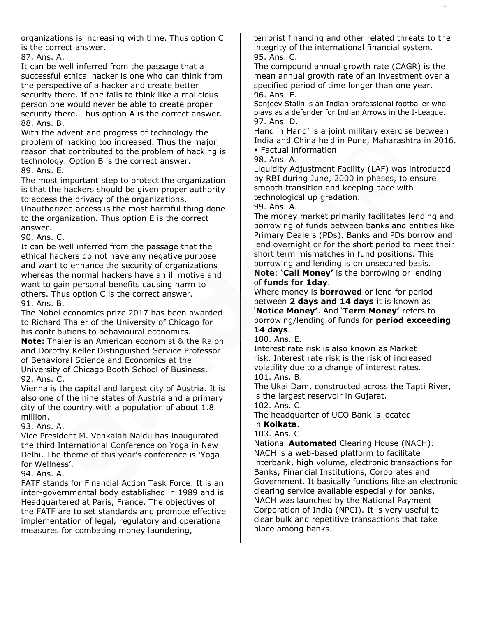organizations is increasing with time. Thus option C is the correct answer.

87. Ans. A.

It can be well inferred from the passage that a successful ethical hacker is one who can think from the perspective of a hacker and create better security there. If one fails to think like a malicious person one would never be able to create proper security there. Thus option A is the correct answer. 88. Ans. B.

With the advent and progress of technology the problem of hacking too increased. Thus the major reason that contributed to the problem of hacking is technology. Option B is the correct answer. 89. Ans. E.

The most important step to protect the organization is that the hackers should be given proper authority to access the privacy of the organizations.

Unauthorized access is the most harmful thing done to the organization. Thus option E is the correct answer.

90. Ans. C.

It can be well inferred from the passage that the ethical hackers do not have any negative purpose and want to enhance the security of organizations whereas the normal hackers have an ill motive and want to gain personal benefits causing harm to others. Thus option C is the correct answer. 91. Ans. B.

The Nobel economics prize 2017 has been awarded to Richard Thaler of the University of Chicago for his contributions to behavioural economics. **Note:** Thaler is an American economist & the Ralph and Dorothy Keller Distinguished Service Professor of Behavioral Science and Economics at the University of Chicago Booth School of Business. 92. Ans. C.

Vienna is the capital and largest city of Austria. It is also one of the nine states of Austria and a primary city of the country with a population of about 1.8 million.

93. Ans. A.

Vice President M. Venkaiah Naidu has inaugurated the third International Conference on Yoga in New Delhi. The theme of this year's conference is 'Yoga for Wellness'.

94. Ans. A.

FATF stands for Financial Action Task Force. It is an inter-governmental body established in 1989 and is Headquartered at Paris, France. The objectives of the FATF are to set standards and promote effective implementation of legal, regulatory and operational measures for combating money laundering,

terrorist financing and other related threats to the integrity of the international financial system. 95. Ans. C.

The compound annual growth rate (CAGR) is the mean annual growth rate of an investment over a specified period of time longer than one year. 96. Ans. E.

Sanjeev Stalin is an Indian professional footballer who plays as a defender for Indian Arrows in the I-League. 97. Ans. D.

Hand in Hand' is a joint military exercise between India and China held in Pune, Maharashtra in 2016. • Factual information

98. Ans. A.

Liquidity Adjustment Facility (LAF) was introduced by RBI during June, 2000 in phases, to ensure smooth transition and keeping pace with technological up gradation.

99. Ans. A.

The money market primarily facilitates lending and borrowing of funds between banks and entities like Primary Dealers (PDs). Banks and PDs borrow and lend overnight or for the short period to meet their short term mismatches in fund positions. This borrowing and lending is on unsecured basis.

**Note**: **'Call Money'** is the borrowing or lending of **funds for 1day**.

Where money is **borrowed** or lend for period between **2 days and 14 days** it is known as '**Notice Money'**. And '**Term Money'** refers to borrowing/lending of funds for **period exceeding 14 days**.

100. Ans. E.

Interest rate risk is also known as Market risk. Interest rate risk is the risk of increased volatility due to a change of interest rates. 101. Ans. B.

The Ukai Dam, constructed across the Tapti River, is the largest reservoir in Gujarat.

102. Ans. C.

The headquarter of UCO Bank is located in **Kolkata**.

103. Ans. C.

National **Automated** Clearing House (NACH). NACH is a web-based platform to facilitate interbank, high volume, electronic transactions for Banks, Financial Institutions, Corporates and Government. It basically functions like an electronic clearing service available especially for banks. NACH was launched by the National Payment Corporation of India (NPCI). It is very useful to clear bulk and repetitive transactions that take place among banks.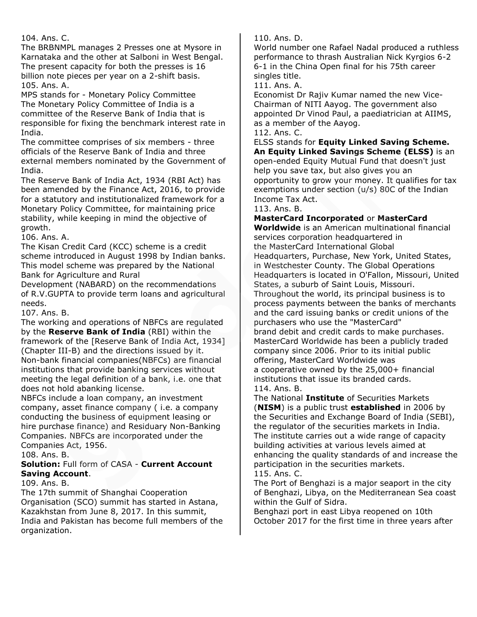104. Ans. C.

The BRBNMPL manages 2 Presses one at Mysore in Karnataka and the other at Salboni in West Bengal. The present capacity for both the presses is 16 billion note pieces per year on a 2-shift basis. 105. Ans. A.

MPS stands for - Monetary Policy Committee The Monetary Policy Committee of India is a committee of the Reserve Bank of India that is responsible for fixing the benchmark interest rate in India.

The committee comprises of six members - three officials of the Reserve Bank of India and three external members nominated by the Government of India.

The Reserve Bank of India Act, 1934 (RBI Act) has been amended by the Finance Act, 2016, to provide for a statutory and institutionalized framework for a Monetary Policy Committee, for maintaining price stability, while keeping in mind the objective of growth.

106. Ans. A.

The Kisan Credit Card (KCC) scheme is a credit scheme introduced in August 1998 by Indian banks. This model scheme was prepared by the National Bank for Agriculture and Rural

Development (NABARD) on the recommendations of R.V.GUPTA to provide term loans and agricultural needs.

107. Ans. B.

The working and operations of NBFCs are regulated by the **Reserve Bank of India** (RBI) within the framework of the [Reserve Bank of India Act, 1934] (Chapter III-B) and the directions issued by it. Non-bank financial companies(NBFCs) are financial institutions that provide banking services without meeting the legal definition of a bank, i.e. one that does not hold abanking license.

NBFCs include a loan company, an investment company, asset finance company ( i.e. a company conducting the business of equipment leasing or hire purchase finance) and Residuary Non-Banking Companies. NBFCs are incorporated under the Companies Act, 1956.

108. Ans. B.

### **Solution:** Full form of CASA - **Current Account Saving Account**.

109. Ans. B.

The 17th summit of Shanghai Cooperation Organisation (SCO) summit has started in Astana, Kazakhstan from June 8, 2017. In this summit, India and Pakistan has become full members of the organization.

110. Ans. D.

World number one Rafael Nadal produced a ruthless performance to thrash Australian Nick Kyrgios 6-2 6-1 in the China Open final for his 75th career singles title.

111. Ans. A.

Economist Dr Rajiv Kumar named the new Vice-Chairman of NITI Aayog. The government also appointed Dr Vinod Paul, a paediatrician at AIIMS, as a member of the Aayog.

112. Ans. C.

ELSS stands for **Equity Linked Saving Scheme. An Equity Linked Savings Scheme (ELSS)** is an open-ended Equity Mutual Fund that doesn't just help you save tax, but also gives you an opportunity to grow your money. It qualifies for tax exemptions under section (u/s) 80C of the Indian Income Tax Act.

113. Ans. B.

**MasterCard Incorporated** or **MasterCard** 

**Worldwide** is an American multinational financial services corporation headquartered in the MasterCard International Global Headquarters, Purchase, New York, United States, in Westchester County. The Global Operations Headquarters is located in O'Fallon, Missouri, United States, a suburb of Saint Louis, Missouri. Throughout the world, its principal business is to process payments between the banks of merchants and the card issuing banks or credit unions of the purchasers who use the "MasterCard" brand debit and credit cards to make purchases. MasterCard Worldwide has been a publicly traded company since 2006. Prior to its initial public offering, MasterCard Worldwide was a cooperative owned by the 25,000+ financial institutions that issue its branded cards. 114. Ans. B.

The National **Institute** of Securities Markets (**NISM**) is a public trust **established** in 2006 by the Securities and Exchange Board of India (SEBI), the regulator of the securities markets in India. The institute carries out a wide range of capacity building activities at various levels aimed at enhancing the quality standards of and increase the participation in the securities markets.

115. Ans. C.

The Port of Benghazi is a major seaport in the city of Benghazi, Libya, on the Mediterranean Sea coast within the Gulf of Sidra.

Benghazi port in east Libya reopened on 10th October 2017 for the first time in three years after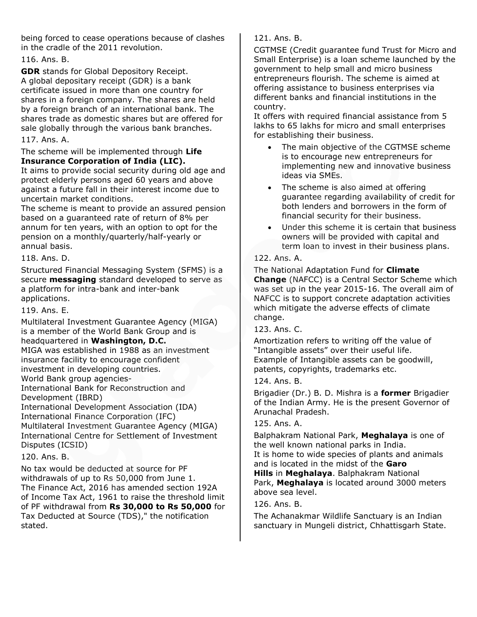being forced to cease operations because of clashes in the cradle of the 2011 revolution.

### 116. Ans. B.

**GDR** stands for Global Depository Receipt. A global depositary receipt (GDR) is a bank certificate issued in more than one country for shares in a foreign company. The shares are held by a foreign branch of an international bank. The shares trade as domestic shares but are offered for sale globally through the various bank branches.

### 117. Ans. A.

#### The scheme will be implemented through **Life Insurance Corporation of India (LIC).**

It aims to provide social security during old age and protect elderly persons aged 60 years and above against a future fall in their interest income due to uncertain market conditions.

The scheme is meant to provide an assured pension based on a guaranteed rate of return of 8% per annum for ten years, with an option to opt for the pension on a monthly/quarterly/half-yearly or annual basis.

### 118. Ans. D.

Structured Financial Messaging System (SFMS) is a secure **messaging** standard developed to serve as a platform for intra-bank and inter-bank applications.

119. Ans. E.

Multilateral Investment Guarantee Agency (MIGA) is a member of the World Bank Group and is headquartered in **Washington, D.C.** MIGA was established in 1988 as an investment insurance facility to encourage confident investment in developing countries. World Bank group agencies-International Bank for Reconstruction and Development (IBRD) International Development Association (IDA) International Finance Corporation (IFC) Multilateral Investment Guarantee Agency (MIGA) International Centre for Settlement of Investment

Disputes (ICSID)

### 120. Ans. B.

No tax would be deducted at source for PF withdrawals of up to Rs 50,000 from June 1. The Finance Act, 2016 has amended section 192A of Income Tax Act, 1961 to raise the threshold limit of PF withdrawal from **Rs 30,000 to Rs 50,000** for Tax Deducted at Source (TDS)," the notification stated.

121. Ans. B.

CGTMSE (Credit guarantee fund Trust for Micro and Small Enterprise) is a loan scheme launched by the government to help small and micro business entrepreneurs flourish. The scheme is aimed at offering assistance to business enterprises via different banks and financial institutions in the country.

It offers with required financial assistance from 5 lakhs to 65 lakhs for micro and small enterprises for establishing their business.

- The main objective of the CGTMSE scheme is to encourage new entrepreneurs for implementing new and innovative business ideas via SMEs.
- The scheme is also aimed at offering guarantee regarding availability of credit for both lenders and borrowers in the form of financial security for their business.
- Under this scheme it is certain that business owners will be provided with capital and term loan to invest in their business plans.

### 122. Ans. A.

The National Adaptation Fund for **Climate Change** (NAFCC) is a Central Sector Scheme which was set up in the year 2015-16. The overall aim of NAFCC is to support concrete adaptation activities which mitigate the adverse effects of climate change.

### 123. Ans. C.

Amortization refers to writing off the value of "Intangible assets" over their useful life. Example of Intangible assets can be goodwill, patents, copyrights, trademarks etc.

### 124. Ans. B.

Brigadier (Dr.) B. D. Mishra is a **former** Brigadier of the Indian Army. He is the present Governor of Arunachal Pradesh.

### 125. Ans. A.

Balphakram National Park, **Meghalaya** is one of the well known national parks in India.

It is home to wide species of plants and animals and is located in the midst of the **Garo** 

**Hills** in **Meghalaya**. Balphakram National Park, **Meghalaya** is located around 3000 meters above sea level.

### 126. Ans. B.

The Achanakmar Wildlife Sanctuary is an Indian sanctuary in Mungeli district, Chhattisgarh State.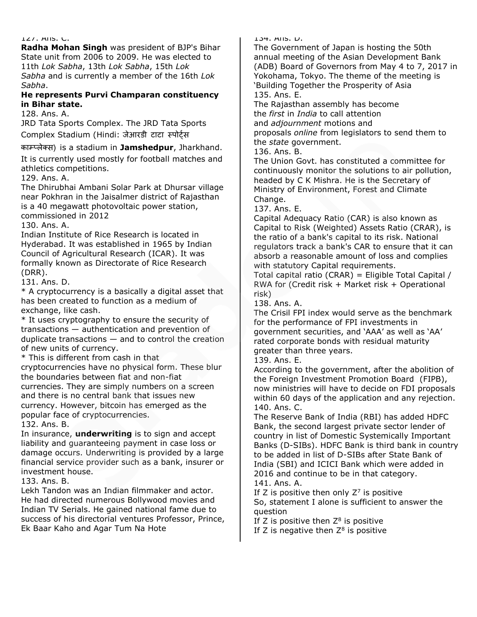#### 127. Ans. C.

**Radha Mohan Singh** was president of BJP's Bihar State unit from 2006 to 2009. He was elected to 11th *Lok Sabha*, 13th *Lok Sabha*, 15th *Lok Sabha* and is currently a member of the 16th *Lok Sabha*.

#### **He represents Purvi Champaran constituency in Bihar state.**

128. Ans. A.

JRD Tata Sports Complex. The JRD Tata Sports Complex Stadium (Hindi: जेआरडी टाटा स्पोर्ट्स

काम्प्लेक्स) is a stadium in **Jamshedpur**, Jharkhand.

It is currently used mostly for football matches and athletics competitions.

129. Ans. A.

The Dhirubhai Ambani Solar Park at Dhursar village near Pokhran in the Jaisalmer district of Rajasthan is a 40 megawatt photovoltaic power station, commissioned in 2012

130. Ans. A.

Indian Institute of Rice Research is located in Hyderabad. It was established in 1965 by Indian Council of Agricultural Research (ICAR). It was formally known as Directorate of Rice Research (DRR).

131. Ans. D.

\* A cryptocurrency is a basically a digital asset that has been created to function as a medium of exchange, like cash.

\* It uses cryptography to ensure the security of transactions — authentication and prevention of duplicate transactions — and to control the creation of new units of currency.

\* This is different from cash in that

cryptocurrencies have no physical form. These blur the boundaries between fiat and non-fiat currencies. They are simply numbers on a screen and there is no central bank that issues new currency. However, bitcoin has emerged as the popular face of cryptocurrencies.

132. Ans. B.

In insurance, **underwriting** is to sign and accept liability and guaranteeing payment in case loss or damage occurs. Underwriting is provided by a large financial service provider such as a bank, insurer or investment house.

133. Ans. B.

Lekh Tandon was an Indian filmmaker and actor. He had directed numerous Bollywood movies and Indian TV Serials. He gained national fame due to success of his directorial ventures Professor, Prince, Ek Baar Kaho and Agar Tum Na Hote

134. Ans. D.

The Government of Japan is hosting the 50th annual meeting of the Asian Development Bank (ADB) Board of Governors from May 4 to 7, 2017 in Yokohama, Tokyo. The theme of the meeting is 'Building Together the Prosperity of Asia 135. Ans. E.

The Rajasthan assembly has become the *first* in *India* to call attention and *adjournment* motions and proposals *online* from legislators to send them to the *state* government.

136. Ans. B.

The Union Govt. has constituted a committee for continuously monitor the solutions to air pollution, headed by C K Mishra. He is the Secretary of Ministry of Environment, Forest and Climate Change.

137. Ans. E.

Capital Adequacy Ratio (CAR) is also known as Capital to Risk (Weighted) Assets Ratio (CRAR), is the ratio of a bank's capital to its risk. National regulators track a bank's CAR to ensure that it can absorb a reasonable amount of loss and complies with statutory Capital requirements.

Total capital ratio (CRAR) = Eligible Total Capital / RWA for (Credit risk + Market risk + Operational risk)

138. Ans. A.

The Crisil FPI index would serve as the benchmark for the performance of FPI investments in government securities, and 'AAA' as well as 'AA' rated corporate bonds with residual maturity greater than three years.

139. Ans. E.

According to the government, after the abolition of the Foreign Investment Promotion Board (FIPB), now ministries will have to decide on FDI proposals within 60 days of the application and any rejection. 140. Ans. C.

The Reserve Bank of India (RBI) has added HDFC Bank, the second largest private sector lender of country in list of Domestic Systemically Important Banks (D-SIBs). HDFC Bank is third bank in country to be added in list of D-SIBs after State Bank of India (SBI) and ICICI Bank which were added in 2016 and continue to be in that category. 141. Ans. A.

If Z is positive then only  $Z^7$  is positive So, statement I alone is sufficient to answer the question

If Z is positive then  $Z^8$  is positive

If Z is negative then  $Z^8$  is positive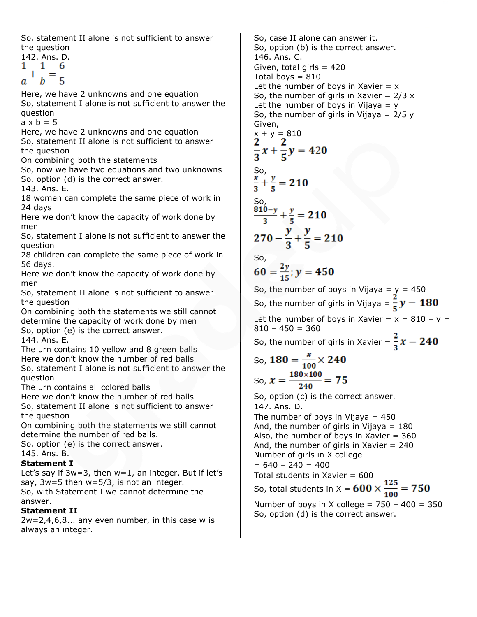So, statement II alone is not sufficient to answer the question

142. Ans. D. 1 6 1  $+\frac{1}{b} = \frac{1}{5}$ а

Here, we have 2 unknowns and one equation So, statement I alone is not sufficient to answer the question

 $a \times b = 5$ 

Here, we have 2 unknowns and one equation

So, statement II alone is not sufficient to answer the question

On combining both the statements

So, now we have two equations and two unknowns So, option (d) is the correct answer.

143. Ans. E.

18 women can complete the same piece of work in 24 days

Here we don't know the capacity of work done by men

So, statement I alone is not sufficient to answer the question

28 children can complete the same piece of work in 56 days.

Here we don't know the capacity of work done by men

So, statement II alone is not sufficient to answer the question

On combining both the statements we still cannot determine the capacity of work done by men So, option (e) is the correct answer.

144. Ans. E.

The urn contains 10 yellow and 8 green balls

Here we don't know the number of red balls So, statement I alone is not sufficient to answer the

question

The urn contains all colored balls

Here we don't know the number of red balls So, statement II alone is not sufficient to answer the question

On combining both the statements we still cannot determine the number of red balls.

So, option (e) is the correct answer.

145. Ans. B.

# **Statement I**

Let's say if  $3w=3$ , then  $w=1$ , an integer. But if let's say,  $3w=5$  then  $w=5/3$ , is not an integer. So, with Statement I we cannot determine the answer.

# **Statement II**

 $2w=2,4,6,8...$  any even number, in this case w is always an integer.

So, case II alone can answer it. So, option (b) is the correct answer. 146. Ans. C. Given, total girls  $= 420$ Total boys  $= 810$ Let the number of boys in Xavier  $= x$ So, the number of girls in Xavier =  $2/3$  x Let the number of boys in Vijaya =  $y$ So, the number of girls in Vijaya =  $2/5 y$ Given,  $\frac{x}{2} + y = 810$  $\frac{2}{3}x + \frac{2}{5}y = 420$ So,<br> $\frac{x}{2} + \frac{y}{5} = 210$  $\frac{810-y}{2} + \frac{y}{5} = 210$  $270 - \frac{y}{3} + \frac{y}{5} = 210$ So,  $60 = \frac{2y}{15}$ ;  $y = 450$ So, the number of boys in Vijaya =  $\frac{y}{x}$  = 450 So, the number of girls in Vijaya =  $\frac{2}{5}y = 180$ Let the number of boys in Xavier =  $x = 810 - y =$  $810 - 450 = 360$ So, the number of girls in Xavier =  $\frac{2}{3}x = 240$ So,  $180 = \frac{x}{100} \times 240$ So,  $x = \frac{180 \times 100}{240} = 75$ So, option (c) is the correct answer. 147. Ans. D. The number of boys in Vijaya  $= 450$ And, the number of girls in Vijaya  $= 180$ Also, the number of boys in Xavier  $= 360$ And, the number of girls in Xavier = 240 Number of girls in X college  $= 640 - 240 = 400$ Total students in Xavier =  $600$ So, total students in X =  $600 \times \frac{125}{100} = 750$ Number of boys in X college =  $750 - 400 = 350$ So, option (d) is the correct answer.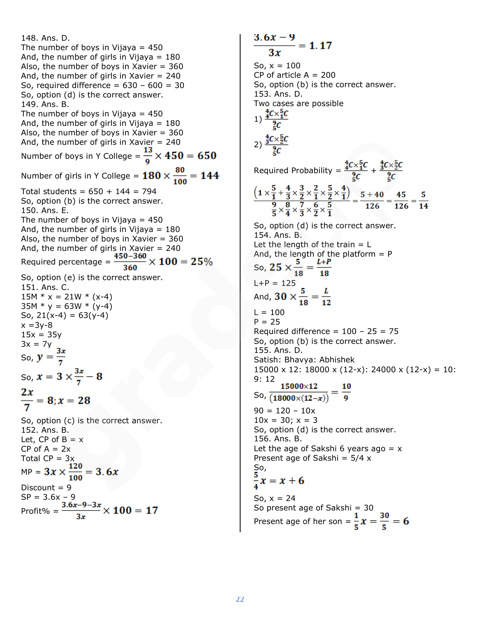148. Ans. D. The number of boys in Vijaya  $= 450$ And, the number of girls in Vijaya  $= 180$ Also, the number of boys in Xavier  $= 360$ And, the number of girls in Xavier  $= 240$ So, required difference =  $630 - 600 = 30$ So, option (d) is the correct answer. 149. Ans. B. The number of boys in Vijaya  $= 450$ And, the number of girls in Vijaya  $= 180$ Also, the number of boys in Xavier  $= 360$ And, the number of girls in Xavier = 240 Number of boys in Y College =  $\frac{13}{9} \times 450 = 650$ Number of girls in Y College =  $180 \times \frac{80}{100} = 144$ Total students = 650 + 144 = 794 So, option (b) is the correct answer. 150. Ans. E. The number of boys in Vijaya  $= 450$ And, the number of girls in Vijaya  $= 180$ Also, the number of boys in Xavier  $= 360$ And, the number of girls in Xavier = 240 Required percentage =  $\frac{450-360}{260} \times 100 = 25\%$ So, option (e) is the correct answer. 151. Ans. C.  $15M * x = 21W * (x-4)$  $35M * y = 63W * (y-4)$ So,  $21(x-4) = 63(y-4)$  $x = 3y-8$  $15x = 35y$  $3x = 7y$ So,  $y = \frac{3x}{7}$ So,  $x = 3 \times \frac{3x}{7} - 8$  $\frac{2x}{7} = 8; x = 28$ So, option (c) is the correct answer. 152. Ans. B. Let, CP of  $B = x$  $CP$  of  $A = 2x$ Total  $CP = 3x$ MP =  $3x \times \frac{120}{100} = 3.6x$ Discount  $= 9$ SP = 3.6x – 9 Profit% =

 $\frac{3.6x-9}{2x} = 1.17$  $3x$ So,  $x = 100$ CP of article  $A = 200$ So, option (b) is the correct answer. 153. Ans. D. Two cases are possible 1)  $\frac{4C \times 5C}{2C}$ 2)  $\frac{3C\times\frac{5}{2}C}{2C}$ Required Probability =  $\frac{4C \times 5C}{2C} + \frac{4C \times 5C}{2C}$  $\frac{\left(1 \times \frac{5}{1} + \frac{4}{3} \times \frac{3}{2} \times \frac{2}{1} \times \frac{5}{2} \times \frac{4}{1}\right)}{\frac{9}{5} \times \frac{8}{4} \times \frac{7}{3} \times \frac{6}{2} \times \frac{5}{1}} = \frac{5 + 40}{126} = \frac{45}{126} = \frac{5}{14}$ So, option (d) is the correct answer. 154. Ans. B. Let the length of the train  $= L$ And, the length of the platform  $= P$ So,  $25 \times \frac{5}{18} = \frac{L+P}{18}$  $L+P = 125$ And,  $30 \times \frac{5}{18} = \frac{L}{12}$  $L = 100$  $P = 25$ Required difference =  $100 - 25 = 75$ So, option (b) is the correct answer. 155. Ans. D. Satish: Bhavya: Abhishek 15000 x 12: 18000 x (12-x): 24000 x (12-x) = 10: 9: 12 So,  $\frac{15000\times12}{(18000\times(12-x))} = \frac{10}{9}$  $90 = 120 - 10x$  $10x = 30$ ;  $x = 3$ So, option (d) is the correct answer. 156. Ans. B. Let the age of Sakshi 6 years ago  $= x$ Present age of Sakshi =  $5/4 x$ So,<br> $\frac{5}{4}x = x + 6$ So,  $x = 24$ So present age of Sakshi = 30 Present age of her son =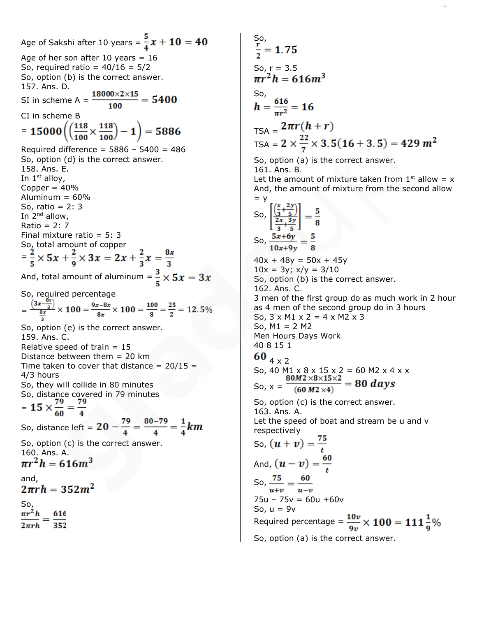Age of Sakshi after 10 years =  $\frac{5}{4}x + 10 = 40$ Age of her son after 10 years =  $16$ So, required ratio =  $40/16 = 5/2$ So, option (b) is the correct answer. 157. Ans. D. SI in scheme A =  $\frac{18000 \times 2 \times 15}{100}$  = 5400 CI in scheme B = 15000 $\left(\left(\frac{118}{100}\times\frac{118}{100}\right)-1\right)$  = 5886 Required difference = 5886 – 5400 = 486 So, option (d) is the correct answer. 158. Ans. E. In  $1<sup>st</sup>$  alloy, Copper  $= 40%$ Aluminum  $= 60\%$ So, ratio = 2: 3 In 2nd allow, Ratio =  $2:7$ Final mixture ratio = 5: 3 So, total amount of copper = And, total amount of aluminum =  $\frac{3}{5} \times 5x = 3x$ So, required percentage  $=\frac{\left(3x-\frac{8x}{3}\right)}{\frac{8x}{2}}\times 100 = \frac{9x-8x}{8x}\times 100 = \frac{100}{8} = \frac{25}{2} = 12.5\%$ So, option (e) is the correct answer. 159. Ans. C. Relative speed of train  $= 15$ Distance between them  $= 20$  km Time taken to cover that distance =  $20/15$  = 4/3 hours So, they will collide in 80 minutes So, distance covered in 79 minutes  $= 15 \times \frac{79}{60} = \frac{79}{4}$ So, distance left =  $20 - \frac{79}{4} = \frac{80 - 79}{4} = \frac{1}{4}km$ So, option (c) is the correct answer. 160. Ans. A.<br> $\pi r^2 h = 616m^3$ and,<br> $2\pi rh = 352m^2$ So,<br> $\pi r^2 h$  616  $352$ 

So,  
\n
$$
\frac{1}{2} = 1.75
$$
  
\nSo,  $r = 3.5$   
\n $mr^2h = 616m^3$   
\nSo,  
\n $h = \frac{616}{\pi r^2} = 16$   
\n $TSA = 2\pi r(h + r)$   
\n $TSA = 2 \times \frac{22}{7} \times 3.5(16 + 3.5) = 429 m^2$   
\nSo, option (a) is the correct answer.  
\n161. Ans. B.  
\nLet the amount of mixture taken from 1<sup>st</sup> allow = x  
\nAnd, the amount of mixture from the second allow  
\n= y  
\nSo,  $\left[\frac{\frac{x}{3} + \frac{2y}{5}}{2\frac{x}{3} + \frac{3y}{5}}\right] = \frac{5}{8}$   
\nSo,  $\frac{5x+6y}{10x+9y} = \frac{5}{8}$   
\n40x + 48y = 50x + 45y  
\n10x = 3y; x/y = 3/10  
\nSo, option (b) is the correct answer.  
\n3 men of the first group do as much work in 2 hour  
\nas 4 men of the second group do in 3 hours  
\nSo, 3 x M1 x 2 = 4 x M2 x 3  
\nSo, M1 = 2 M2  
\n60 4 x 2  
\nSo, M1 = 2 M2  
\n60 4 x 2  
\nSo, A0 M1 x 8 x 15 x 2 = 60 M2 x 4 x x  
\n80M2 x8x15x2 = 80 days  
\nSo, option (c) is the correct answer.  
\n163. Ans. A.  
\nLet the speed of boat and stream be u and v  
\nrespectively  
\nSo,  $(u + v) = \frac{75}{t}$   
\nAnd,  $(u - v) = \frac{60}{t}$   
\nSo,  $\frac{75}{u+v} = \frac{60}{u-v}$ 

 $75u - 75v = 60u + 60v$ So,  $u = 9v$ Required percentage =  $\frac{10\nu}{9\nu} \times 100 = 111\frac{1}{9}\%$ 

So, option (a) is the correct answer.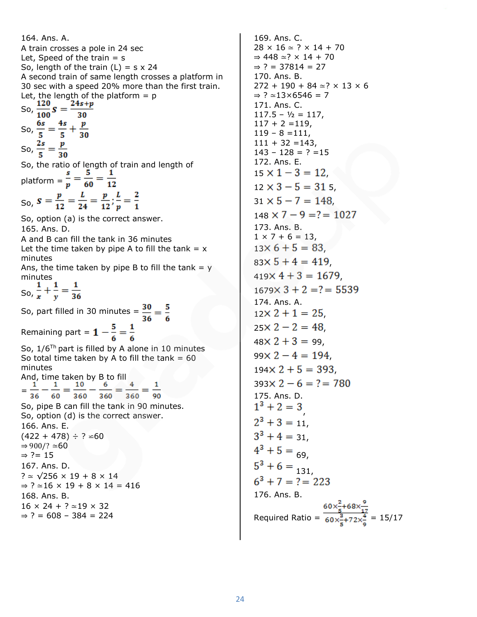164. Ans. A. A train crosses a pole in 24 sec Let, Speed of the train  $=$  s So, length of the train  $(L) = s \times 24$ A second train of same length crosses a platform in 30 sec with a speed 20% more than the first train. Let, the length of the platform  $= p$ So,  $\frac{120}{100}$   $S = \frac{24s+p}{30}$ So,  $\frac{6s}{5} = \frac{4s}{5} + \frac{p}{30}$ So,  $\frac{2s}{5} = \frac{p}{30}$ So, the ratio of length of train and length of platform =  $\frac{s}{p} = \frac{5}{60} = \frac{1}{12}$ So,  $S = \frac{p}{12} = \frac{L}{24} = \frac{p}{12}; \frac{L}{p} = \frac{2}{1}$ So, option (a) is the correct answer. 165. Ans. D. A and B can fill the tank in 36 minutes Let the time taken by pipe A to fill the tank  $= x$ minutes Ans, the time taken by pipe B to fill the tank  $= y$ minutes So,  $\frac{1}{x} + \frac{1}{y} = \frac{1}{36}$ So, part filled in 30 minutes =  $\frac{30}{36} = \frac{5}{6}$ Remaining part =  $1 - \frac{5}{6} = \frac{1}{6}$ So,  $1/6^{Th}$  part is filled by A alone in 10 minutes So total time taken by A to fill the tank  $= 60$ minutes And, time taken by B to fill<br>=  $\frac{1}{2} - \frac{1}{2} = \frac{10}{2} - \frac{6}{2} = -$ = 90 36 60 360 360 360 So, pipe B can fill the tank in 90 minutes. So, option (d) is the correct answer. 166. Ans. E.  $(422 + 478) \div ? \cong 60$  $\Rightarrow$  900/?  $\simeq$  60  $\Rightarrow$  ?= 15 167. Ans. D. ? ≃ √256 × 19 + 8 × 14  $\Rightarrow$  ? ≃16 × 19 + 8 × 14 = 416 168. Ans. B.  $16 \times 24 + ? \approx 19 \times 32$  $⇒ ? = 608 - 384 = 224$ 

169. Ans. C.  $28 \times 16 \approx ? \times 14 + 70$ ⇒ 448 ≃? × 14 + 70  $⇒ ? = 37814 = 27$ 170. Ans. B. 272 + 190 + 84 ≃? × 13 × 6 ⇒ ? ≃13×6546 = 7 171. Ans. C.  $117.5 - \frac{1}{2} = 117$ ,  $117 + 2 = 119$ ,  $119 - 8 = 111$ ,  $111 + 32 = 143$ .  $143 - 128 = ? = 15$ 172. Ans. E.  $15 \times 1 - 3 = 12$  $12 \times 3 - 5 = 315$  $31 \times 5 - 7 = 148$  $148 \times 7 - 9 = ? = 1027$ 173. Ans. B.  $1 \times 7 + 6 = 13$ ,  $13 \times 6 + 5 = 83$  $83 \times 5 + 4 = 419$  $419 \times 4 + 3 = 1679$  $1679 \times 3 + 2 = ? = 5539$ 174. Ans. A.  $12 \times 2 + 1 = 25$  $25 \times 2 - 2 = 48$  $48 \times 2 + 3 = 99$ ,  $99 \times 2 - 4 = 194$  $194 \times 2 + 5 = 393$  $393 \times 2 - 6 = ? = 780$ 175. Ans. D.  $1^3 + 2 = 3$  $2^3 + 3 = 11$ ,  $3^3 + 4 = 31$ ,  $4^3 + 5 = 69$ ,  $5^3 + 6 = 131,$  $6^3 + 7 = ? = 223$ 176. Ans. B. Required Ratio =  $\frac{60 \times \frac{2}{5} + 68 \times \frac{9}{17}}{60 \times \frac{2}{5} + 72 \times \frac{4}{5}}$  = 15/17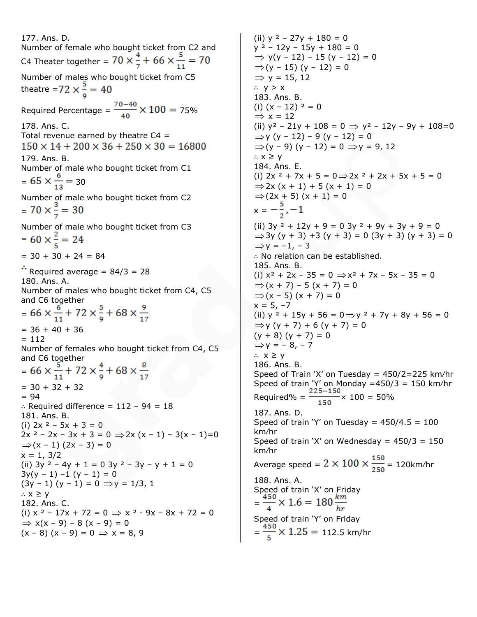177. Ans. D. Number of female who bought ticket from C2 and C4 Theater together =  $70 \times \frac{4}{7} + 66 \times \frac{5}{11} = 70$ Number of males who bought ticket from C5 theatre =72  $\times \frac{5}{6}$  = 40 Required Percentage =  $\frac{70-40}{40} \times 100 = 75\%$ 178. Ans. C. Total revenue earned by theatre  $C4 =$  $150 \times 14 + 200 \times 36 + 250 \times 30 = 16800$ 179. Ans. B. Number of male who bought ticket from C1  $= 65 \times \frac{6}{13} = 30$ Number of male who bought ticket from C2  $= 70 \times \frac{3}{7} = 30$ Number of male who bought ticket from C3  $= 60 \times \frac{2}{5} = 24$  $= 30 + 30 + 24 = 84$  $\therefore$  Required average = 84/3 = 28 180. Ans. A. Number of males who bought ticket from C4, C5 and C6 together =  $66 \times \frac{6}{11} + 72 \times \frac{5}{9} + 68 \times \frac{9}{17}$  $= 36 + 40 + 36$  $= 112$ Number of females who bought ticket from C4, C5 and C6 together =  $= 30 + 32 + 32$  $= 94$ ∴ Required difference = 112 – 94 = 18 181. Ans. B. (i)  $2x^2 - 5x + 3 = 0$  $2x^2 - 2x - 3x + 3 = 0 \Rightarrow 2x(x - 1) - 3(x - 1) = 0$  $\Rightarrow$  (x – 1) (2x – 3) = 0  $x = 1, 3/2$ (ii)  $3y^2 - 4y + 1 = 0$   $3y^2 - 3y - y + 1 = 0$  $3y(y - 1) - 1 (y - 1) = 0$  $(3y - 1)(y - 1) = 0 \implies y = 1/3, 1$ ∴ x ≥ y 182. Ans. C. (i)  $x^2 - 17x + 72 = 0 \Rightarrow x^2 - 9x - 8x + 72 = 0$  $\Rightarrow$  x(x – 9) – 8 (x – 9) = 0  $(x - 8) (x - 9) = 0 \implies x = 8, 9$ 

(ii)  $y^2 - 27y + 180 = 0$  $y^2 - 12y - 15y + 180 = 0$  $\Rightarrow$  y(y - 12) - 15 (y - 12) = 0  $\Rightarrow$  (y – 15) (y – 12) = 0  $\Rightarrow$  y = 15, 12 ∴ y > x 183. Ans. B. (i)  $(x - 12)^2 = 0$  $\Rightarrow$  x = 12 (ii)  $y^2 - 21y + 108 = 0 \Rightarrow y^2 - 12y - 9y + 108 = 0$  $\Rightarrow$ y (y – 12) – 9 (y – 12) = 0  $\Rightarrow$  (y - 9) (y - 12) = 0  $\Rightarrow$  y = 9, 12 ∴ x ≥ y 184. Ans. E. (i)  $2x^2 + 7x + 5 = 0 \Rightarrow 2x^2 + 2x + 5x + 5 = 0$  $\Rightarrow$  2x (x + 1) + 5 (x + 1) = 0  $\Rightarrow$  (2x + 5) (x + 1) = 0  $x =$ (ii)  $3y^2 + 12y + 9 = 0$   $3y^2 + 9y + 3y + 9 = 0$  $\Rightarrow$  3y (y + 3) + 3 (y + 3) = 0 (3y + 3) (y + 3) = 0  $\Rightarrow$ y = -1, -3 ∴ No relation can be established. 185. Ans. B. (i)  $x^2 + 2x - 35 = 0 \Rightarrow x^2 + 7x - 5x - 35 = 0$  $\Rightarrow$  (x + 7) – 5 (x + 7) = 0 ⇒ $(x - 5) (x + 7) = 0$  $x = 5, -7$ (ii)  $y^2 + 15y + 56 = 0 \implies y^2 + 7y + 8y + 56 = 0$  $\Rightarrow$ y (y + 7) + 6 (y + 7) = 0  $(y + 8)(y + 7) = 0$  $\Rightarrow$ y = - 8, - 7 ∴ x ≥ y 186. Ans. B. Speed of Train 'X' on Tuesday =  $450/2 = 225$  km/hr Speed of train 'Y' on Monday =450/3 = 150 km/hr Required% =  $\frac{225-150}{150} \times 100 = 50\%$ 187. Ans. D. Speed of train 'Y' on Tuesday =  $450/4.5 = 100$ km⁄hr Speed of train 'X' on Wednesday =  $450/3 = 150$ km⁄hr Average speed =  $2 \times 100 \times \frac{150}{250}$  = 120km/hr 188. Ans. A. Speed of train 'X' on Friday  $=\frac{450}{4} \times 1.6 = 180 \frac{km}{hr}$ Speed of train 'Y' on Friday  $=\frac{450}{5} \times 1.25 = 112.5$  km/hr